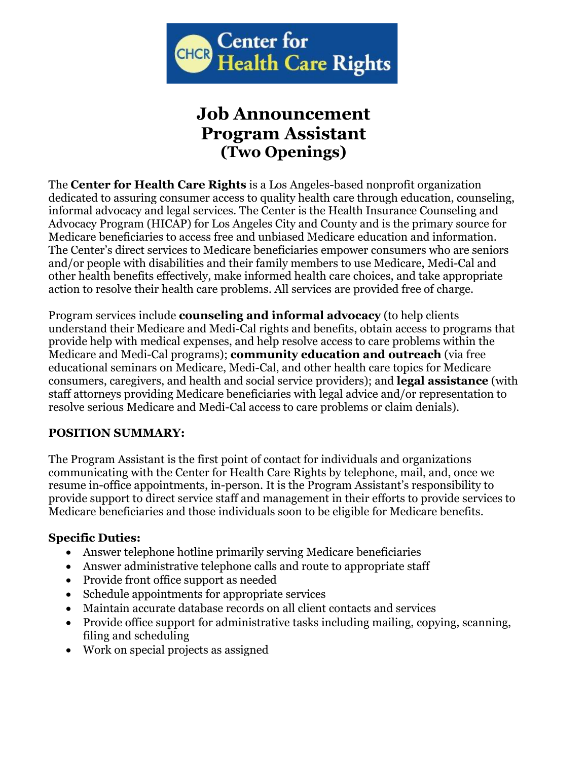

# **Job Announcement Program Assistant (Two Openings)**

The **Center for Health Care Rights** is a Los Angeles-based nonprofit organization dedicated to assuring consumer access to quality health care through education, counseling, informal advocacy and legal services. The Center is the Health Insurance Counseling and Advocacy Program (HICAP) for Los Angeles City and County and is the primary source for Medicare beneficiaries to access free and unbiased Medicare education and information. The Center's direct services to Medicare beneficiaries empower consumers who are seniors and/or people with disabilities and their family members to use Medicare, Medi-Cal and other health benefits effectively, make informed health care choices, and take appropriate action to resolve their health care problems. All services are provided free of charge.

Program services include **counseling and informal advocacy** (to help clients understand their Medicare and Medi-Cal rights and benefits, obtain access to programs that provide help with medical expenses, and help resolve access to care problems within the Medicare and Medi-Cal programs); **community education and outreach** (via free educational seminars on Medicare, Medi-Cal, and other health care topics for Medicare consumers, caregivers, and health and social service providers); and **legal assistance** (with staff attorneys providing Medicare beneficiaries with legal advice and/or representation to resolve serious Medicare and Medi-Cal access to care problems or claim denials).

## **POSITION SUMMARY:**

The Program Assistant is the first point of contact for individuals and organizations communicating with the Center for Health Care Rights by telephone, mail, and, once we resume in-office appointments, in-person. It is the Program Assistant's responsibility to provide support to direct service staff and management in their efforts to provide services to Medicare beneficiaries and those individuals soon to be eligible for Medicare benefits.

### **Specific Duties:**

- Answer telephone hotline primarily serving Medicare beneficiaries
- Answer administrative telephone calls and route to appropriate staff
- Provide front office support as needed
- Schedule appointments for appropriate services
- Maintain accurate database records on all client contacts and services
- Provide office support for administrative tasks including mailing, copying, scanning, filing and scheduling
- Work on special projects as assigned